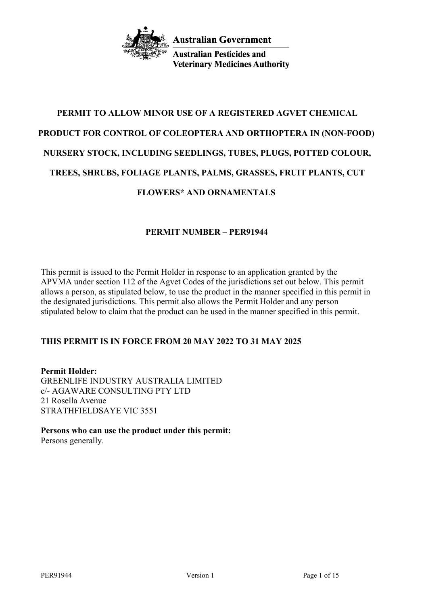

**Australian Pesticides and Veterinary Medicines Authority** 

# **PERMIT TO ALLOW MINOR USE OF A REGISTERED AGVET CHEMICAL PRODUCT FOR CONTROL OF COLEOPTERA AND ORTHOPTERA IN (NON-FOOD) NURSERY STOCK, INCLUDING SEEDLINGS, TUBES, PLUGS, POTTED COLOUR, TREES, SHRUBS, FOLIAGE PLANTS, PALMS, GRASSES, FRUIT PLANTS, CUT**

# **FLOWERS\* AND ORNAMENTALS**

# **PERMIT NUMBER – PER91944**

This permit is issued to the Permit Holder in response to an application granted by the APVMA under section 112 of the Agvet Codes of the jurisdictions set out below. This permit allows a person, as stipulated below, to use the product in the manner specified in this permit in the designated jurisdictions. This permit also allows the Permit Holder and any person stipulated below to claim that the product can be used in the manner specified in this permit.

# **THIS PERMIT IS IN FORCE FROM 20 MAY 2022 TO 31 MAY 2025**

**Permit Holder:** GREENLIFE INDUSTRY AUSTRALIA LIMITED c/- AGAWARE CONSULTING PTY LTD 21 Rosella Avenue STRATHFIELDSAYE VIC 3551

**Persons who can use the product under this permit:** Persons generally.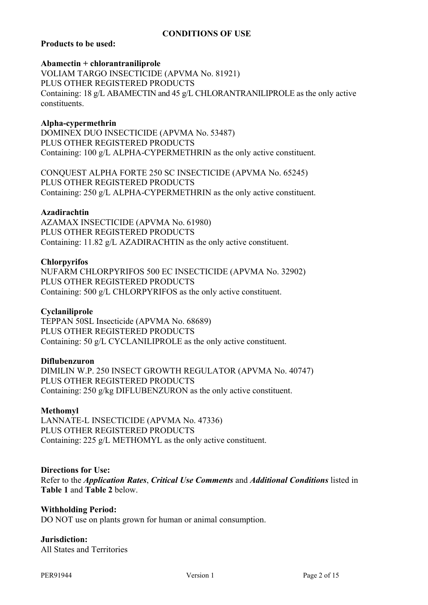# **CONDITIONS OF USE**

# **Products to be used:**

#### **Abamectin + chlorantraniliprole**

VOLIAM TARGO INSECTICIDE (APVMA No. 81921) PLUS OTHER REGISTERED PRODUCTS Containing: 18 g/L ABAMECTIN and 45 g/L CHLORANTRANILIPROLE as the only active constituents.

# **Alpha-cypermethrin**

DOMINEX DUO INSECTICIDE (APVMA No. 53487) PLUS OTHER REGISTERED PRODUCTS Containing: 100 g/L ALPHA-CYPERMETHRIN as the only active constituent.

CONQUEST ALPHA FORTE 250 SC INSECTICIDE (APVMA No. 65245) PLUS OTHER REGISTERED PRODUCTS Containing: 250 g/L ALPHA-CYPERMETHRIN as the only active constituent.

# **Azadirachtin**

AZAMAX INSECTICIDE (APVMA No. 61980) PLUS OTHER REGISTERED PRODUCTS Containing: 11.82 g/L AZADIRACHTIN as the only active constituent.

# **Chlorpyrifos**

NUFARM CHLORPYRIFOS 500 EC INSECTICIDE (APVMA No. 32902) PLUS OTHER REGISTERED PRODUCTS Containing: 500 g/L CHLORPYRIFOS as the only active constituent.

# **Cyclaniliprole**

TEPPAN 50SL Insecticide (APVMA No. 68689) PLUS OTHER REGISTERED PRODUCTS Containing: 50 g/L CYCLANILIPROLE as the only active constituent.

# **Diflubenzuron**

DIMILIN W.P. 250 INSECT GROWTH REGULATOR (APVMA No. 40747) PLUS OTHER REGISTERED PRODUCTS Containing: 250 g/kg DIFLUBENZURON as the only active constituent.

# **Methomyl**

LANNATE-L INSECTICIDE (APVMA No. 47336) PLUS OTHER REGISTERED PRODUCTS Containing: 225 g/L METHOMYL as the only active constituent.

# **Directions for Use:**

Refer to the *Application Rates*, *Critical Use Comments* and *Additional Conditions* listed in **Table 1** and **Table 2** below.

#### **Withholding Period:**

DO NOT use on plants grown for human or animal consumption.

# **Jurisdiction:**

All States and Territories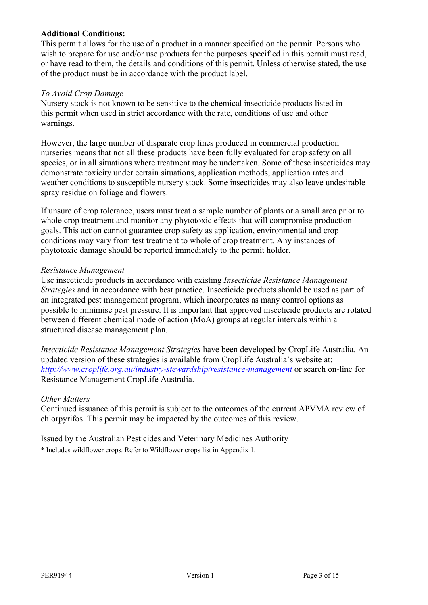# **Additional Conditions:**

This permit allows for the use of a product in a manner specified on the permit. Persons who wish to prepare for use and/or use products for the purposes specified in this permit must read, or have read to them, the details and conditions of this permit. Unless otherwise stated, the use of the product must be in accordance with the product label.

# *To Avoid Crop Damage*

Nursery stock is not known to be sensitive to the chemical insecticide products listed in this permit when used in strict accordance with the rate, conditions of use and other warnings.

However, the large number of disparate crop lines produced in commercial production nurseries means that not all these products have been fully evaluated for crop safety on all species, or in all situations where treatment may be undertaken. Some of these insecticides may demonstrate toxicity under certain situations, application methods, application rates and weather conditions to susceptible nursery stock. Some insecticides may also leave undesirable spray residue on foliage and flowers.

If unsure of crop tolerance, users must treat a sample number of plants or a small area prior to whole crop treatment and monitor any phytotoxic effects that will compromise production goals. This action cannot guarantee crop safety as application, environmental and crop conditions may vary from test treatment to whole of crop treatment. Any instances of phytotoxic damage should be reported immediately to the permit holder.

# *Resistance Management*

Use insecticide products in accordance with existing *Insecticide Resistance Management Strategies* and in accordance with best practice. Insecticide products should be used as part of an integrated pest management program, which incorporates as many control options as possible to minimise pest pressure. It is important that approved insecticide products are rotated between different chemical mode of action (MoA) groups at regular intervals within a structured disease management plan.

*Insecticide Resistance Management Strategies* have been developed by CropLife Australia. An updated version of these strategies is available from CropLife Australia's website at: *<http://www.croplife.org.au/industry-stewardship/resistance-management>* or search on-line for Resistance Management CropLife Australia.

# *Other Matters*

Continued issuance of this permit is subject to the outcomes of the current APVMA review of chlorpyrifos. This permit may be impacted by the outcomes of this review.

# Issued by the Australian Pesticides and Veterinary Medicines Authority

\* Includes wildflower crops. Refer to Wildflower crops list in Appendix 1.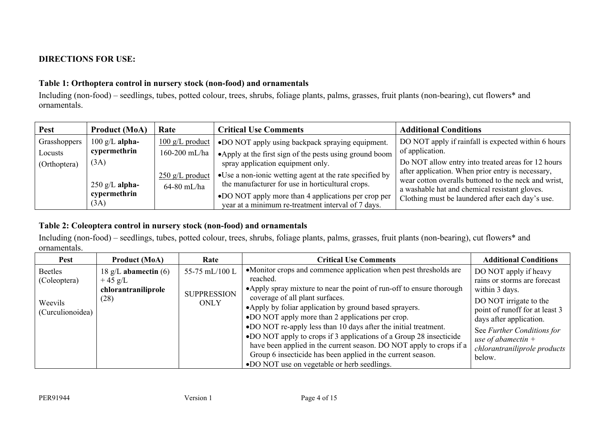# **DIRECTIONS FOR USE:**

# **Table 1: Orthoptera control in nursery stock (non-food) and ornamentals**

Including (non-food) – seedlings, tubes, potted colour, trees, shrubs, foliage plants, palms, grasses, fruit plants (non-bearing), cut flowers\* and ornamentals.

| <b>Pest</b>  | <b>Product (MoA)</b> | Rate                      | <b>Critical Use Comments</b>                             | <b>Additional Conditions</b>                                                                              |
|--------------|----------------------|---------------------------|----------------------------------------------------------|-----------------------------------------------------------------------------------------------------------|
| Grasshoppers | $100$ g/L alpha-     | $100 \text{ g/L}$ product | •DO NOT apply using backpack spraying equipment.         | DO NOT apply if rainfall is expected within 6 hours                                                       |
| Locusts      | cypermethrin         | 160-200 mL/ha             | • Apply at the first sign of the pests using ground boom | of application.                                                                                           |
| (Orthoptera) | (3A)                 |                           | spray application equipment only.                        | Do NOT allow entry into treated areas for 12 hours                                                        |
|              |                      | $250$ g/L product         | •Use a non-ionic wetting agent at the rate specified by  | after application. When prior entry is necessary,<br>wear cotton overalls buttoned to the neck and wrist, |
|              | $250$ g/L alpha-     | 64-80 mL/ha               | the manufacturer for use in horticultural crops.         | a washable hat and chemical resistant gloves.                                                             |
|              | cypermethrin         |                           | •DO NOT apply more than 4 applications per crop per      | Clothing must be laundered after each day's use.                                                          |
|              | (3A)                 |                           | year at a minimum re-treatment interval of 7 days.       |                                                                                                           |

# **Table 2: Coleoptera control in nursery stock (non-food) and ornamentals**

Including (non-food) – seedlings, tubes, potted colour, trees, shrubs, foliage plants, palms, grasses, fruit plants (non-bearing), cut flowers\* and ornamentals.

| <b>Pest</b>                                            | <b>Product (MoA)</b>                                               | Rate                                                | <b>Critical Use Comments</b>                                                                                                                                                                                                                                                                                                                                                                                                                                                                                                                                                                                                          | <b>Additional Conditions</b>                                                                                                                                                                                                                                   |
|--------------------------------------------------------|--------------------------------------------------------------------|-----------------------------------------------------|---------------------------------------------------------------------------------------------------------------------------------------------------------------------------------------------------------------------------------------------------------------------------------------------------------------------------------------------------------------------------------------------------------------------------------------------------------------------------------------------------------------------------------------------------------------------------------------------------------------------------------------|----------------------------------------------------------------------------------------------------------------------------------------------------------------------------------------------------------------------------------------------------------------|
| Beetles<br>(Coleoptera)<br>Weevils<br>(Curculionoidea) | 18 g/L abamectin $(6)$<br>$+45$ g/L<br>chlorantraniliprole<br>(28) | 55-75 mL/100 L<br><b>SUPPRESSION</b><br><b>ONLY</b> | •Monitor crops and commence application when pest thresholds are<br>reached.<br>• Apply spray mixture to near the point of run-off to ensure thorough<br>coverage of all plant surfaces.<br>• Apply by foliar application by ground based sprayers.<br>•DO NOT apply more than 2 applications per crop.<br>•DO NOT re-apply less than 10 days after the initial treatment.<br>•DO NOT apply to crops if 3 applications of a Group 28 insecticide<br>have been applied in the current season. DO NOT apply to crops if a<br>Group 6 insecticide has been applied in the current season.<br>•DO NOT use on vegetable or herb seedlings. | DO NOT apply if heavy<br>rains or storms are forecast<br>within 3 days.<br>DO NOT irrigate to the<br>point of runoff for at least 3<br>days after application.<br>See Further Conditions for<br>use of abamectin $+$<br>chlorantraniliprole products<br>below. |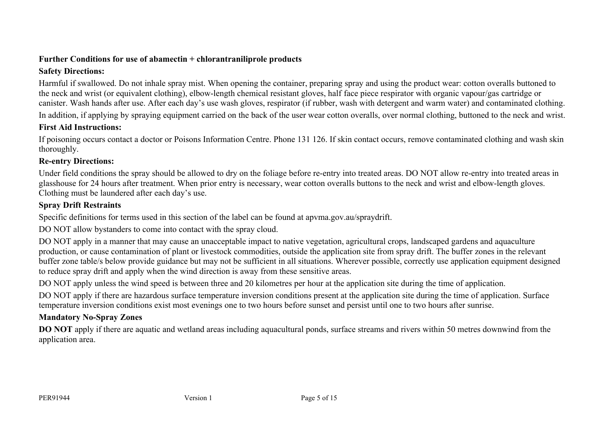# **Further Conditions for use of abamectin + chlorantraniliprole products**

# **Safety Directions:**

Harmful if swallowed. Do not inhale spray mist. When opening the container, preparing spray and using the product wear: cotton overalls buttoned to the neck and wrist (or equivalent clothing), elbow-length chemical resistant gloves, half face piece respirator with organic vapour/gas cartridge or canister. Wash hands after use. After each day's use wash gloves, respirator (if rubber, wash with detergent and warm water) and contaminated clothing. In addition, if applying by spraying equipment carried on the back of the user wear cotton overalls, over normal clothing, buttoned to the neck and wrist.

# **First Aid Instructions:**

If poisoning occurs contact a doctor or Poisons Information Centre. Phone 131 126. If skin contact occurs, remove contaminated clothing and wash skin thoroughly.

# **Re-entry Directions:**

Under field conditions the spray should be allowed to dry on the foliage before re-entry into treated areas. DO NOT allow re-entry into treated areas in glasshouse for 24 hours after treatment. When prior entry is necessary, wear cotton overalls buttons to the neck and wrist and elbow-length gloves. Clothing must be laundered after each day's use.

# **Spray Drift Restraints**

Specific definitions for terms used in this section of the label can be found at apvma.gov.au/spraydrift.

DO NOT allow bystanders to come into contact with the spray cloud.

DO NOT apply in a manner that may cause an unacceptable impact to native vegetation, agricultural crops, landscaped gardens and aquaculture production, or cause contamination of plant or livestock commodities, outside the application site from spray drift. The buffer zones in the relevant buffer zone table/s below provide guidance but may not be sufficient in all situations. Wherever possible, correctly use application equipment designed to reduce spray drift and apply when the wind direction is away from these sensitive areas.

DO NOT apply unless the wind speed is between three and 20 kilometres per hour at the application site during the time of application.

DO NOT apply if there are hazardous surface temperature inversion conditions present at the application site during the time of application. Surface temperature inversion conditions exist most evenings one to two hours before sunset and persist until one to two hours after sunrise.

# **Mandatory No-Spray Zones**

**DO NOT** apply if there are aquatic and wetland areas including aquacultural ponds, surface streams and rivers within 50 metres downwind from the application area.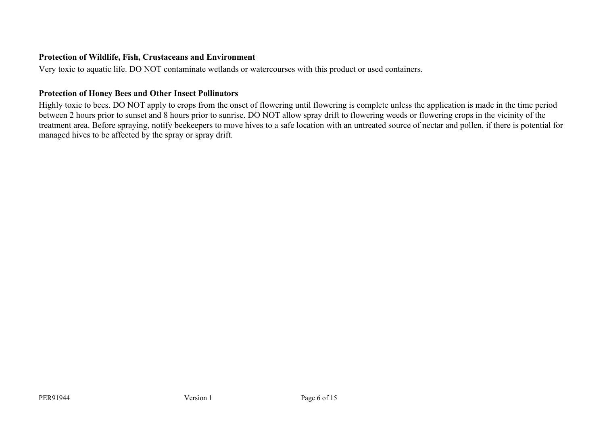# **Protection of Wildlife, Fish, Crustaceans and Environment**

Very toxic to aquatic life. DO NOT contaminate wetlands or watercourses with this product or used containers.

# **Protection of Honey Bees and Other Insect Pollinators**

Highly toxic to bees. DO NOT apply to crops from the onset of flowering until flowering is complete unless the application is made in the time period between 2 hours prior to sunset and 8 hours prior to sunrise. DO NOT allow spray drift to flowering weeds or flowering crops in the vicinity of the treatment area. Before spraying, notify beekeepers to move hives to a safe location with an untreated source of nectar and pollen, if there is potential for managed hives to be affected by the spray or spray drift.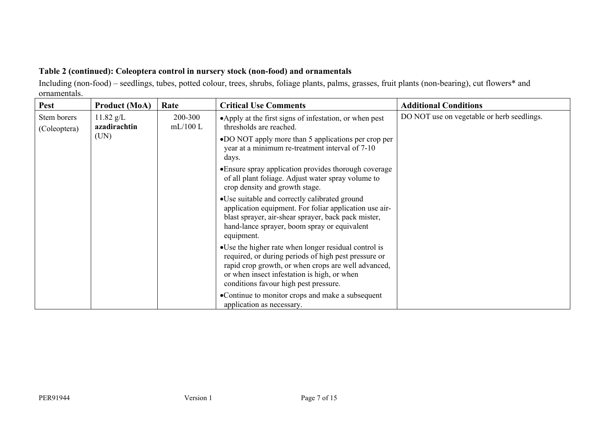# **Table 2 (continued): Coleoptera control in nursery stock (non-food) and ornamentals**

Including (non-food) – seedlings, tubes, potted colour, trees, shrubs, foliage plants, palms, grasses, fruit plants (non-bearing), cut flowers\* and ornamentals.

| <b>Pest</b>                 | <b>Product (MoA)</b>        | Rate                  | <b>Critical Use Comments</b>                                                                                                                                                                                                                                 | <b>Additional Conditions</b>               |
|-----------------------------|-----------------------------|-----------------------|--------------------------------------------------------------------------------------------------------------------------------------------------------------------------------------------------------------------------------------------------------------|--------------------------------------------|
| Stem borers<br>(Coleoptera) | $11.82$ g/L<br>azadirachtin | 200-300<br>$mL/100$ L | •Apply at the first signs of infestation, or when pest<br>thresholds are reached.                                                                                                                                                                            | DO NOT use on vegetable or herb seedlings. |
|                             | (UN)                        |                       | •DO NOT apply more than 5 applications per crop per<br>year at a minimum re-treatment interval of 7-10<br>days.                                                                                                                                              |                                            |
|                             |                             |                       | • Ensure spray application provides thorough coverage<br>of all plant foliage. Adjust water spray volume to<br>crop density and growth stage.                                                                                                                |                                            |
|                             |                             |                       | •Use suitable and correctly calibrated ground<br>application equipment. For foliar application use air-<br>blast sprayer, air-shear sprayer, back pack mister,<br>hand-lance sprayer, boom spray or equivalent<br>equipment.                                 |                                            |
|                             |                             |                       | • Use the higher rate when longer residual control is<br>required, or during periods of high pest pressure or<br>rapid crop growth, or when crops are well advanced,<br>or when insect infestation is high, or when<br>conditions favour high pest pressure. |                                            |
|                             |                             |                       | •Continue to monitor crops and make a subsequent<br>application as necessary.                                                                                                                                                                                |                                            |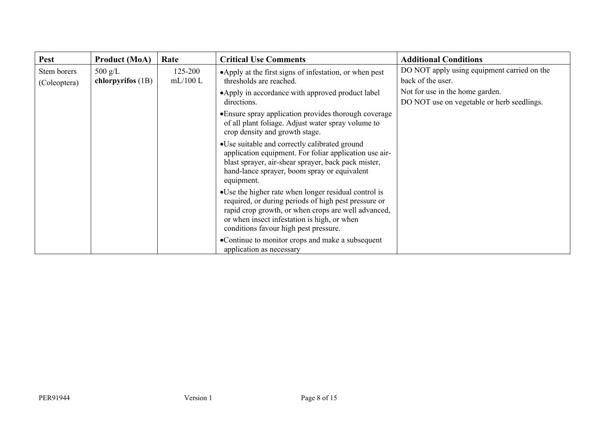| <b>Pest</b>                 | <b>Product (MoA)</b>                     | Rate                                                                                                                                                                                                                                                         | <b>Critical Use Comments</b>                                                                                                                                                                                                 | <b>Additional Conditions</b>                                                  |
|-----------------------------|------------------------------------------|--------------------------------------------------------------------------------------------------------------------------------------------------------------------------------------------------------------------------------------------------------------|------------------------------------------------------------------------------------------------------------------------------------------------------------------------------------------------------------------------------|-------------------------------------------------------------------------------|
| Stem borers<br>(Coleoptera) | $500 \text{ g/L}$<br>chlorpyrifos $(1B)$ | 125-200<br>mL/100L                                                                                                                                                                                                                                           | •Apply at the first signs of infestation, or when pest<br>thresholds are reached.                                                                                                                                            | DO NOT apply using equipment carried on the<br>back of the user.              |
|                             |                                          |                                                                                                                                                                                                                                                              | • Apply in accordance with approved product label<br>directions.                                                                                                                                                             | Not for use in the home garden.<br>DO NOT use on vegetable or herb seedlings. |
|                             |                                          |                                                                                                                                                                                                                                                              | • Ensure spray application provides thorough coverage<br>of all plant foliage. Adjust water spray volume to<br>crop density and growth stage.                                                                                |                                                                               |
|                             |                                          |                                                                                                                                                                                                                                                              | •Use suitable and correctly calibrated ground<br>application equipment. For foliar application use air-<br>blast sprayer, air-shear sprayer, back pack mister,<br>hand-lance sprayer, boom spray or equivalent<br>equipment. |                                                                               |
|                             |                                          | • Use the higher rate when longer residual control is<br>required, or during periods of high pest pressure or<br>rapid crop growth, or when crops are well advanced,<br>or when insect infestation is high, or when<br>conditions favour high pest pressure. |                                                                                                                                                                                                                              |                                                                               |
|                             |                                          |                                                                                                                                                                                                                                                              | •Continue to monitor crops and make a subsequent<br>application as necessary                                                                                                                                                 |                                                                               |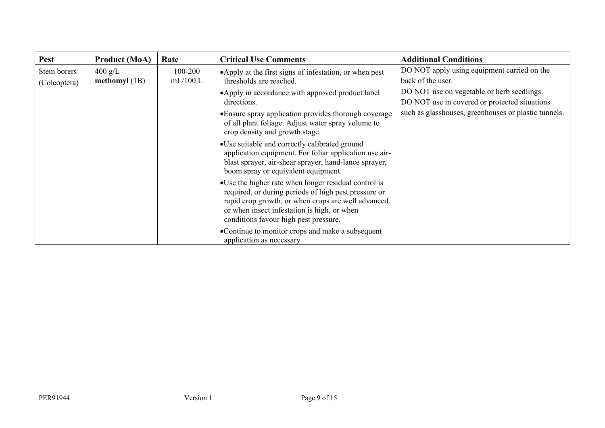| Pest                        | <b>Product (MoA)</b>                 | Rate                   | <b>Critical Use Comments</b>                                                                                                                                                                                                                                 | <b>Additional Conditions</b>                                                                |
|-----------------------------|--------------------------------------|------------------------|--------------------------------------------------------------------------------------------------------------------------------------------------------------------------------------------------------------------------------------------------------------|---------------------------------------------------------------------------------------------|
| Stem borers<br>(Coleoptera) | $400 \text{ g/L}$<br>methomyl $(1B)$ | $100 - 200$<br>mL/100L | •Apply at the first signs of infestation, or when pest<br>thresholds are reached.                                                                                                                                                                            | DO NOT apply using equipment carried on the<br>back of the user.                            |
|                             |                                      |                        | •Apply in accordance with approved product label<br>directions.                                                                                                                                                                                              | DO NOT use on vegetable or herb seedlings.<br>DO NOT use in covered or protected situations |
|                             |                                      |                        | • Ensure spray application provides thorough coverage<br>of all plant foliage. Adjust water spray volume to<br>crop density and growth stage.                                                                                                                | such as glasshouses, greenhouses or plastic tunnels.                                        |
|                             |                                      |                        | •Use suitable and correctly calibrated ground<br>application equipment. For foliar application use air-<br>blast sprayer, air-shear sprayer, hand-lance sprayer,<br>boom spray or equivalent equipment.                                                      |                                                                                             |
|                             |                                      |                        | • Use the higher rate when longer residual control is<br>required, or during periods of high pest pressure or<br>rapid crop growth, or when crops are well advanced,<br>or when insect infestation is high, or when<br>conditions favour high pest pressure. |                                                                                             |
|                             |                                      |                        | •Continue to monitor crops and make a subsequent<br>application as necessary                                                                                                                                                                                 |                                                                                             |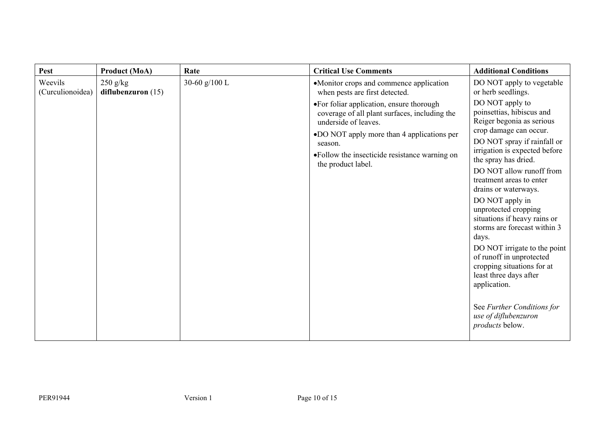| <b>Pest</b>                               | <b>Product (MoA)</b> | Rate          | <b>Critical Use Comments</b>                                                                                                                                                                                                                        | <b>Additional Conditions</b>                                                                                                                                                                                                                                                                                                                                                                                                                                                                                                                                                                                 |
|-------------------------------------------|----------------------|---------------|-----------------------------------------------------------------------------------------------------------------------------------------------------------------------------------------------------------------------------------------------------|--------------------------------------------------------------------------------------------------------------------------------------------------------------------------------------------------------------------------------------------------------------------------------------------------------------------------------------------------------------------------------------------------------------------------------------------------------------------------------------------------------------------------------------------------------------------------------------------------------------|
| Weevils<br>$250$ g/kg<br>(Curculionoidea) | diflubenzuron $(15)$ | 30-60 g/100 L | •Monitor crops and commence application<br>when pests are first detected.                                                                                                                                                                           | DO NOT apply to vegetable<br>or herb seedlings.                                                                                                                                                                                                                                                                                                                                                                                                                                                                                                                                                              |
|                                           |                      |               | • For foliar application, ensure thorough<br>coverage of all plant surfaces, including the<br>underside of leaves.<br>•DO NOT apply more than 4 applications per<br>season.<br>• Follow the insecticide resistance warning on<br>the product label. | DO NOT apply to<br>poinsettias, hibiscus and<br>Reiger begonia as serious<br>crop damage can occur.<br>DO NOT spray if rainfall or<br>irrigation is expected before<br>the spray has dried.<br>DO NOT allow runoff from<br>treatment areas to enter<br>drains or waterways.<br>DO NOT apply in<br>unprotected cropping<br>situations if heavy rains or<br>storms are forecast within 3<br>days.<br>DO NOT irrigate to the point<br>of runoff in unprotected<br>cropping situations for at<br>least three days after<br>application.<br>See Further Conditions for<br>use of diflubenzuron<br>products below. |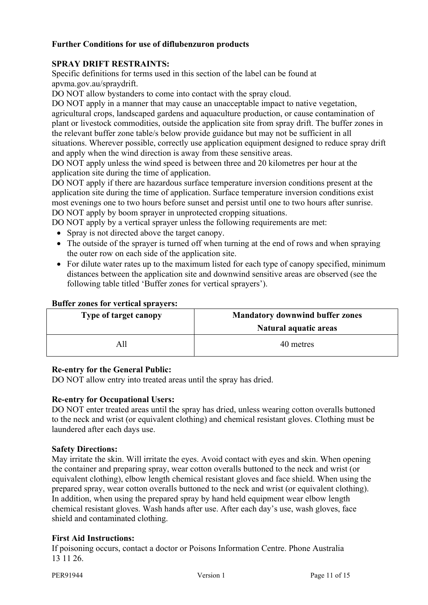# **Further Conditions for use of diflubenzuron products**

# **SPRAY DRIFT RESTRAINTS:**

Specific definitions for terms used in this section of the label can be found at apvma.gov.au/spraydrift.

DO NOT allow bystanders to come into contact with the spray cloud.

DO NOT apply in a manner that may cause an unacceptable impact to native vegetation, agricultural crops, landscaped gardens and aquaculture production, or cause contamination of plant or livestock commodities, outside the application site from spray drift. The buffer zones in the relevant buffer zone table/s below provide guidance but may not be sufficient in all situations. Wherever possible, correctly use application equipment designed to reduce spray drift and apply when the wind direction is away from these sensitive areas.

DO NOT apply unless the wind speed is between three and 20 kilometres per hour at the application site during the time of application.

DO NOT apply if there are hazardous surface temperature inversion conditions present at the application site during the time of application. Surface temperature inversion conditions exist most evenings one to two hours before sunset and persist until one to two hours after sunrise. DO NOT apply by boom sprayer in unprotected cropping situations.

DO NOT apply by a vertical sprayer unless the following requirements are met:

- Spray is not directed above the target canopy.
- The outside of the sprayer is turned off when turning at the end of rows and when spraying the outer row on each side of the application site.
- For dilute water rates up to the maximum listed for each type of canopy specified, minimum distances between the application site and downwind sensitive areas are observed (see the following table titled 'Buffer zones for vertical sprayers').

#### **Buffer zones for vertical sprayers:**

| Type of target canopy | <b>Mandatory downwind buffer zones</b> |  |
|-----------------------|----------------------------------------|--|
|                       | Natural aquatic areas                  |  |
| All                   | 40 metres                              |  |

# **Re-entry for the General Public:**

DO NOT allow entry into treated areas until the spray has dried.

# **Re-entry for Occupational Users:**

DO NOT enter treated areas until the spray has dried, unless wearing cotton overalls buttoned to the neck and wrist (or equivalent clothing) and chemical resistant gloves. Clothing must be laundered after each days use.

# **Safety Directions:**

May irritate the skin. Will irritate the eyes. Avoid contact with eyes and skin. When opening the container and preparing spray, wear cotton overalls buttoned to the neck and wrist (or equivalent clothing), elbow length chemical resistant gloves and face shield. When using the prepared spray, wear cotton overalls buttoned to the neck and wrist (or equivalent clothing). In addition, when using the prepared spray by hand held equipment wear elbow length chemical resistant gloves. Wash hands after use. After each day's use, wash gloves, face shield and contaminated clothing.

# **First Aid Instructions:**

If poisoning occurs, contact a doctor or Poisons Information Centre. Phone Australia 13 11 26.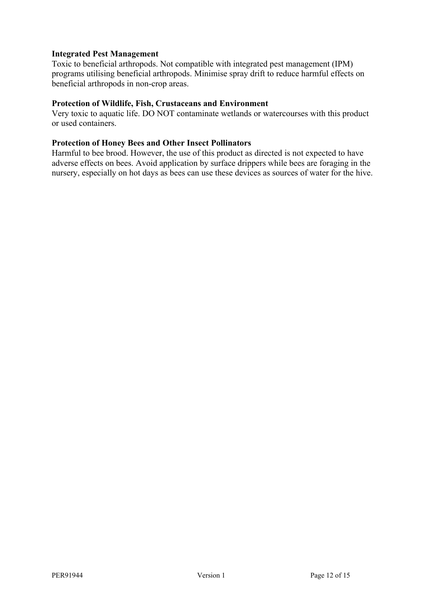# **Integrated Pest Management**

Toxic to beneficial arthropods. Not compatible with integrated pest management (IPM) programs utilising beneficial arthropods. Minimise spray drift to reduce harmful effects on beneficial arthropods in non-crop areas.

# **Protection of Wildlife, Fish, Crustaceans and Environment**

Very toxic to aquatic life. DO NOT contaminate wetlands or watercourses with this product or used containers.

# **Protection of Honey Bees and Other Insect Pollinators**

Harmful to bee brood. However, the use of this product as directed is not expected to have adverse effects on bees. Avoid application by surface drippers while bees are foraging in the nursery, especially on hot days as bees can use these devices as sources of water for the hive.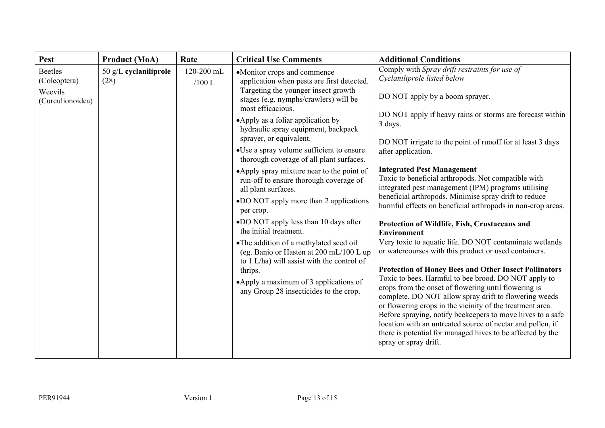| <b>Pest</b>                                                   | <b>Product (MoA)</b>            | Rate                   | <b>Critical Use Comments</b>                                                                                                                                                                                                                                                                                                                                                                                                                                                                                                                                                                                                                                                                                                                                                                                                                            | <b>Additional Conditions</b>                                                                                                                                                                                                                                                                                                                                                                                                                                                                                                                                                                                                                                                                                                                                                                                                                                                                                                                                                                                                                                                                                                                                                                                                                                               |
|---------------------------------------------------------------|---------------------------------|------------------------|---------------------------------------------------------------------------------------------------------------------------------------------------------------------------------------------------------------------------------------------------------------------------------------------------------------------------------------------------------------------------------------------------------------------------------------------------------------------------------------------------------------------------------------------------------------------------------------------------------------------------------------------------------------------------------------------------------------------------------------------------------------------------------------------------------------------------------------------------------|----------------------------------------------------------------------------------------------------------------------------------------------------------------------------------------------------------------------------------------------------------------------------------------------------------------------------------------------------------------------------------------------------------------------------------------------------------------------------------------------------------------------------------------------------------------------------------------------------------------------------------------------------------------------------------------------------------------------------------------------------------------------------------------------------------------------------------------------------------------------------------------------------------------------------------------------------------------------------------------------------------------------------------------------------------------------------------------------------------------------------------------------------------------------------------------------------------------------------------------------------------------------------|
| <b>Beetles</b><br>(Coleoptera)<br>Weevils<br>(Curculionoidea) | $50$ g/L cyclaniliprole<br>(28) | 120-200 mL<br>$/100$ L | •Monitor crops and commence<br>application when pests are first detected.<br>Targeting the younger insect growth<br>stages (e.g. nymphs/crawlers) will be<br>most efficacious.<br>• Apply as a foliar application by<br>hydraulic spray equipment, backpack<br>sprayer, or equivalent.<br>•Use a spray volume sufficient to ensure<br>thorough coverage of all plant surfaces.<br>•Apply spray mixture near to the point of<br>run-off to ensure thorough coverage of<br>all plant surfaces.<br>•DO NOT apply more than 2 applications<br>per crop.<br>•DO NOT apply less than 10 days after<br>the initial treatment.<br>•The addition of a methylated seed oil<br>(eg. Banjo or Hasten at 200 mL/100 L up<br>to 1 L/ha) will assist with the control of<br>thrips.<br>•Apply a maximum of 3 applications of<br>any Group 28 insecticides to the crop. | Comply with Spray drift restraints for use of<br>Cyclaniliprole listed below<br>DO NOT apply by a boom sprayer.<br>DO NOT apply if heavy rains or storms are forecast within<br>3 days.<br>DO NOT irrigate to the point of runoff for at least 3 days<br>after application.<br><b>Integrated Pest Management</b><br>Toxic to beneficial arthropods. Not compatible with<br>integrated pest management (IPM) programs utilising<br>beneficial arthropods. Minimise spray drift to reduce<br>harmful effects on beneficial arthropods in non-crop areas.<br>Protection of Wildlife, Fish, Crustaceans and<br><b>Environment</b><br>Very toxic to aquatic life. DO NOT contaminate wetlands<br>or watercourses with this product or used containers.<br><b>Protection of Honey Bees and Other Insect Pollinators</b><br>Toxic to bees. Harmful to bee brood. DO NOT apply to<br>crops from the onset of flowering until flowering is<br>complete. DO NOT allow spray drift to flowering weeds<br>or flowering crops in the vicinity of the treatment area.<br>Before spraying, notify beekeepers to move hives to a safe<br>location with an untreated source of nectar and pollen, if<br>there is potential for managed hives to be affected by the<br>spray or spray drift. |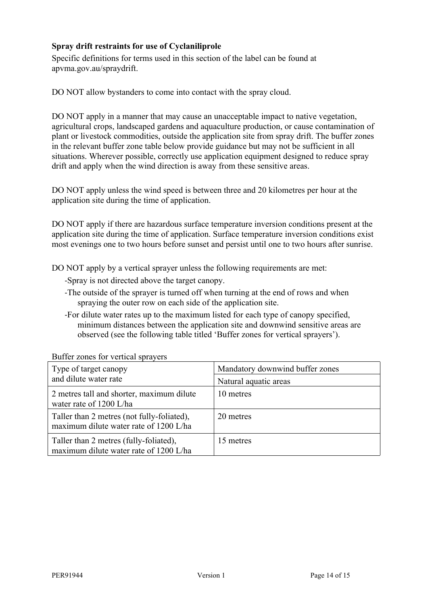# **Spray drift restraints for use of Cyclaniliprole**

Specific definitions for terms used in this section of the label can be found at apvma.gov.au/spraydrift.

DO NOT allow bystanders to come into contact with the spray cloud.

DO NOT apply in a manner that may cause an unacceptable impact to native vegetation, agricultural crops, landscaped gardens and aquaculture production, or cause contamination of plant or livestock commodities, outside the application site from spray drift. The buffer zones in the relevant buffer zone table below provide guidance but may not be sufficient in all situations. Wherever possible, correctly use application equipment designed to reduce spray drift and apply when the wind direction is away from these sensitive areas.

DO NOT apply unless the wind speed is between three and 20 kilometres per hour at the application site during the time of application.

DO NOT apply if there are hazardous surface temperature inversion conditions present at the application site during the time of application. Surface temperature inversion conditions exist most evenings one to two hours before sunset and persist until one to two hours after sunrise.

DO NOT apply by a vertical sprayer unless the following requirements are met:

- -Spray is not directed above the target canopy.
- -The outside of the sprayer is turned off when turning at the end of rows and when spraying the outer row on each side of the application site.
- -For dilute water rates up to the maximum listed for each type of canopy specified, minimum distances between the application site and downwind sensitive areas are observed (see the following table titled 'Buffer zones for vertical sprayers').

| Type of target canopy<br>and dilute water rate                                       | Mandatory downwind buffer zones<br>Natural aquatic areas |
|--------------------------------------------------------------------------------------|----------------------------------------------------------|
| 2 metres tall and shorter, maximum dilute<br>water rate of 1200 L/ha                 | 10 metres                                                |
| Taller than 2 metres (not fully-foliated),<br>maximum dilute water rate of 1200 L/ha | 20 metres                                                |
| Taller than 2 metres (fully-foliated),<br>maximum dilute water rate of 1200 L/ha     | 15 metres                                                |

Buffer zones for vertical sprayers